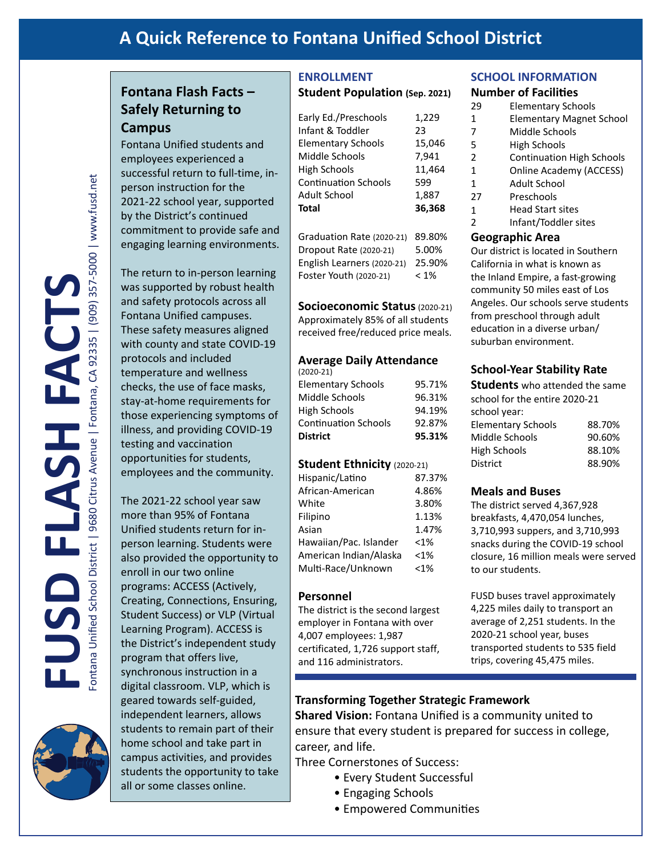# **A Quick Reference to Fontana Unified School District**

# **Fontana Flash Facts – Safely Returning to Campus**

Fontana Unified students and employees experienced a successful return to full-time, inperson instruction for the 2021-22 school year, supported by the District's continued commitment to provide safe and engaging learning environments.

The return to in-person learning was supported by robust health and safety protocols across all Fontana Unified campuses. These safety measures aligned with county and state COVID-19 protocols and included temperature and wellness checks, the use of face masks, stay-at-home requirements for those experiencing symptoms of illness, and providing COVID-19 testing and vaccination opportunities for students, employees and the community.

The 2021-22 school year saw more than 95% of Fontana Unified students return for inperson learning. Students were also provided the opportunity to enroll in our two online programs: ACCESS (Actively, Creating, Connections, Ensuring, Student Success) or VLP (Virtual Learning Program). ACCESS is the District's independent study program that offers live, synchronous instruction in a digital classroom. VLP, which is geared towards self-guided, independent learners, allows students to remain part of their home school and take part in campus activities, and provides students the opportunity to take all or some classes online.

### **ENROLLMENT Student Population (Sep. 2021)**

| Early Ed./Preschools        | 1,229  |
|-----------------------------|--------|
| Infant & Toddler            | 23     |
| <b>Elementary Schools</b>   | 15,046 |
| Middle Schools              | 7,941  |
| <b>High Schools</b>         | 11,464 |
| <b>Continuation Schools</b> | 599    |
| Adult School                | 1,887  |
| Total                       | 36,368 |
|                             |        |

Graduation Rate (2020-21) 89.80% Dropout Rate (2020-21) 5.00% English Learners (2020-21) 25.90% Foster Youth (2020-21) < 1%

**Socioeconomic Status**(2020-21) Approximately 85% of all students received free/reduced price meals.

#### **Average Daily Attendance**

| <b>District</b>             | 95.31% |
|-----------------------------|--------|
| <b>Continuation Schools</b> | 92.87% |
| High Schools                | 94.19% |
| Middle Schools              | 96.31% |
| <b>Elementary Schools</b>   | 95.71% |
| $(2020-21)$                 |        |

#### **Student Ethnicity** (2020-21)

| Hispanic/Latino        | 87.37%  |
|------------------------|---------|
| African-American       | 4.86%   |
| White                  | 3.80%   |
| Filipino               | 1.13%   |
| Asian                  | 1.47%   |
| Hawaiian/Pac. Islander | $< 1\%$ |
| American Indian/Alaska | < 1%    |
| Multi-Race/Unknown     | < 1%    |
|                        |         |

#### **Personnel**

The district is the second largest employer in Fontana with over 4,007 employees: 1,987 certificated, 1,726 support staff, and 116 administrators.

### **SCHOOL INFORMATION**

#### **Number of Facilities**

- 29 Elementary Schools 1 Elementary Magnet School 7 Middle Schools 5 High Schools 2 Continuation High Schools  $\mathbf{1}$ Online Academy (ACCESS)  $\mathbf{1}$ Adult School 27 Preschools
- 1 Head Start sites
- 2 Infant/Toddler sites

#### **Geographic Area**

Our district is located in Southern California in what is known as the Inland Empire, a fast-growing community 50 miles east of Los Angeles. Our schools serve students from preschool through adult education in a diverse urban/ suburban environment.

### **School-Year Stability Rate**

| <b>Students</b> who attended the same |        |
|---------------------------------------|--------|
| school for the entire 2020-21         |        |
| school year:                          |        |
| <b>Elementary Schools</b>             | 88.70% |
| Middle Schools                        | 90.60% |
| <b>High Schools</b>                   | 88.10% |
| <b>District</b>                       | 88.90% |

#### **Meals and Buses**

The district served 4,367,928 breakfasts, 4,470,054 lunches, 3,710,993 suppers, and 3,710,993 snacks during the COVID-19 school closure, 16 million meals were served to our students.

FUSD buses travel approximately 4,225 miles daily to transport an average of 2,251 students. In the 2020-21 school year, buses transported students to 535 field trips, covering 45,475 miles.

### **Transforming Together Strategic Framework**

**Shared Vision:** Fontana Unified is a community united to ensure that every student is prepared for success in college, career, and life.

Three Cornerstones of Success:

- Every Student Successful
- Engaging Schools
- Empowered Communities